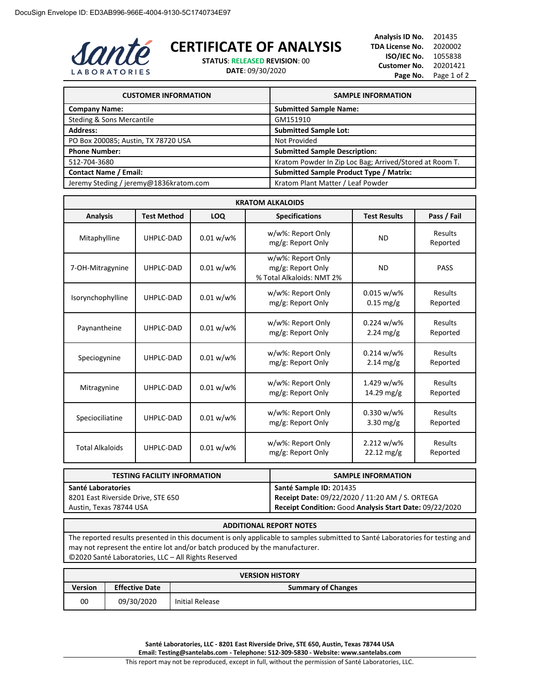

## **CERTIFICATE OF ANALYSIS**

**STATUS**: **RELEASED REVISION**: 00

**DATE**: 09/30/2020

**Analysis ID No.** 201435 **TDA License No.** 2020002 **ISO/IEC No.** 1055838 **Customer No.** 20201421 Page No. Page 1 of 2

| <b>CUSTOMER INFORMATION</b>            | <b>SAMPLE INFORMATION</b>                               |
|----------------------------------------|---------------------------------------------------------|
| <b>Company Name:</b>                   | <b>Submitted Sample Name:</b>                           |
| Steding & Sons Mercantile              | GM151910                                                |
| <b>Address:</b>                        | <b>Submitted Sample Lot:</b>                            |
| PO Box 200085; Austin, TX 78720 USA    | Not Provided                                            |
| <b>Phone Number:</b>                   | <b>Submitted Sample Description:</b>                    |
| 512-704-3680                           | Kratom Powder In Zip Loc Bag; Arrived/Stored at Room T. |
| <b>Contact Name / Email:</b>           | <b>Submitted Sample Product Type / Matrix:</b>          |
| Jeremy Steding / jeremy@1836kratom.com | Kratom Plant Matter / Leaf Powder                       |

| <b>KRATOM ALKALOIDS</b> |                    |              |                                                                     |                                      |                     |
|-------------------------|--------------------|--------------|---------------------------------------------------------------------|--------------------------------------|---------------------|
| <b>Analysis</b>         | <b>Test Method</b> | LOQ          | <b>Specifications</b>                                               | <b>Test Results</b>                  | Pass / Fail         |
| Mitaphylline            | UHPLC-DAD          | $0.01 w/w$ % | w/w%: Report Only<br>mg/g: Report Only                              | <b>ND</b>                            | Results<br>Reported |
| 7-OH-Mitragynine        | UHPLC-DAD          | $0.01 w/w$ % | w/w%: Report Only<br>mg/g: Report Only<br>% Total Alkaloids: NMT 2% | <b>ND</b>                            | <b>PASS</b>         |
| Isorynchophylline       | UHPLC-DAD          | $0.01 w/w$ % | w/w%: Report Only<br>mg/g: Report Only                              | $0.015 w/w$ %<br>$0.15 \text{ mg/g}$ | Results<br>Reported |
| Paynantheine            | UHPLC-DAD          | $0.01 w/w$ % | w/w%: Report Only<br>mg/g: Report Only                              | $0.224 w/w$ %<br>$2.24$ mg/g         | Results<br>Reported |
| Speciogynine            | UHPLC-DAD          | $0.01 w/w$ % | w/w%: Report Only<br>mg/g: Report Only                              | $0.214 w/w$ %<br>$2.14 \text{ mg/g}$ | Results<br>Reported |
| Mitragynine             | UHPLC-DAD          | $0.01 w/w$ % | w/w%: Report Only<br>mg/g: Report Only                              | 1.429 w/w%<br>14.29 mg/g             | Results<br>Reported |
| Speciociliatine         | UHPLC-DAD          | $0.01 w/w$ % | w/w%: Report Only<br>mg/g: Report Only                              | 0.330 w/w%<br>$3.30$ mg/g            | Results<br>Reported |
| <b>Total Alkaloids</b>  | UHPLC-DAD          | $0.01 w/w$ % | w/w%: Report Only<br>mg/g: Report Only                              | 2.212 w/w%<br>$22.12 \text{ mg/g}$   | Results<br>Reported |

| <b>TESTING FACILITY INFORMATION</b> | <b>SAMPLE INFORMATION</b>                               |
|-------------------------------------|---------------------------------------------------------|
| Santé Laboratories                  | Santé Sample ID: 201435                                 |
| 8201 East Riverside Drive, STE 650  | Receipt Date: 09/22/2020 / 11:20 AM / S. ORTEGA         |
| Austin, Texas 78744 USA             | Receipt Condition: Good Analysis Start Date: 09/22/2020 |

## **ADDITIONAL REPORT NOTES**

The reported results presented in this document is only applicable to samples submitted to Santé Laboratories for testing and may not represent the entire lot and/or batch produced by the manufacturer. ©2020 Santé Laboratories, LLC – All Rights Reserved

| <b>VERSION HISTORY</b> |                       |                           |  |  |
|------------------------|-----------------------|---------------------------|--|--|
| <b>Version</b>         | <b>Effective Date</b> | <b>Summary of Changes</b> |  |  |
| 00                     | 09/30/2020            | Initial Release           |  |  |

**Santé Laboratories, LLC - 8201 East Riverside Drive, STE 650, Austin, Texas 78744 USA Email: Testing@santelabs.com - Telephone: 512-309-5830 - Website: www.santelabs.com**